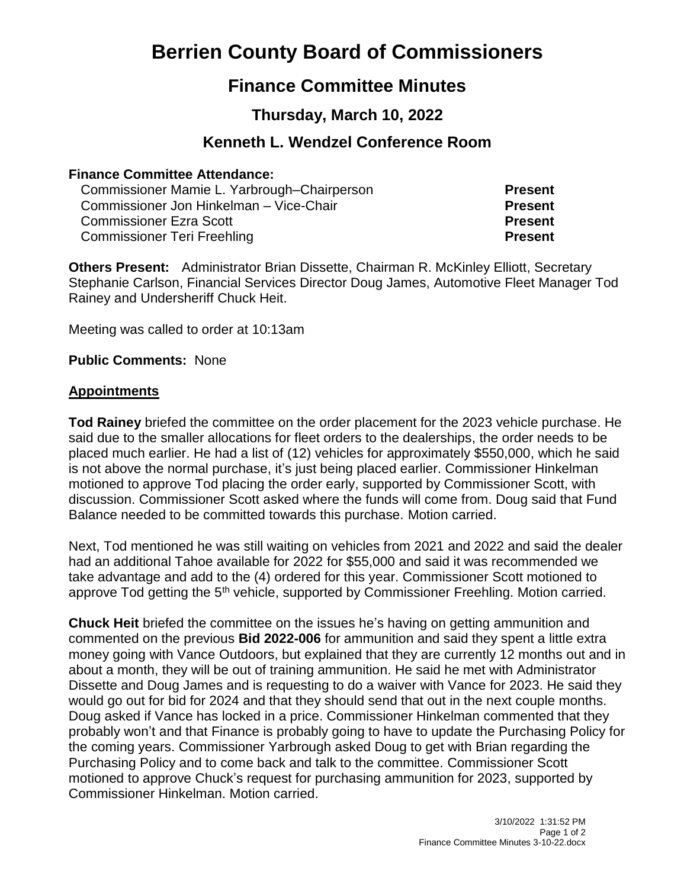# **Berrien County Board of Commissioners**

## **Finance Committee Minutes**

## **Thursday, March 10, 2022**

### **Kenneth L. Wendzel Conference Room**

#### **Finance Committee Attendance:**

Commissioner Mamie L. Yarbrough–Chairperson **Present** Commissioner Jon Hinkelman – Vice-Chair **Present** Commissioner Ezra Scott **Present** Commissioner Teri Freehling **Present**

**Others Present:** Administrator Brian Dissette, Chairman R. McKinley Elliott, Secretary Stephanie Carlson, Financial Services Director Doug James, Automotive Fleet Manager Tod Rainey and Undersheriff Chuck Heit.

Meeting was called to order at 10:13am

**Public Comments:** None

#### **Appointments**

**Tod Rainey** briefed the committee on the order placement for the 2023 vehicle purchase. He said due to the smaller allocations for fleet orders to the dealerships, the order needs to be placed much earlier. He had a list of (12) vehicles for approximately \$550,000, which he said is not above the normal purchase, it's just being placed earlier. Commissioner Hinkelman motioned to approve Tod placing the order early, supported by Commissioner Scott, with discussion. Commissioner Scott asked where the funds will come from. Doug said that Fund Balance needed to be committed towards this purchase. Motion carried.

Next, Tod mentioned he was still waiting on vehicles from 2021 and 2022 and said the dealer had an additional Tahoe available for 2022 for \$55,000 and said it was recommended we take advantage and add to the (4) ordered for this year. Commissioner Scott motioned to approve Tod getting the 5<sup>th</sup> vehicle, supported by Commissioner Freehling. Motion carried.

**Chuck Heit** briefed the committee on the issues he's having on getting ammunition and commented on the previous **Bid 2022-006** for ammunition and said they spent a little extra money going with Vance Outdoors, but explained that they are currently 12 months out and in about a month, they will be out of training ammunition. He said he met with Administrator Dissette and Doug James and is requesting to do a waiver with Vance for 2023. He said they would go out for bid for 2024 and that they should send that out in the next couple months. Doug asked if Vance has locked in a price. Commissioner Hinkelman commented that they probably won't and that Finance is probably going to have to update the Purchasing Policy for the coming years. Commissioner Yarbrough asked Doug to get with Brian regarding the Purchasing Policy and to come back and talk to the committee. Commissioner Scott motioned to approve Chuck's request for purchasing ammunition for 2023, supported by Commissioner Hinkelman. Motion carried.